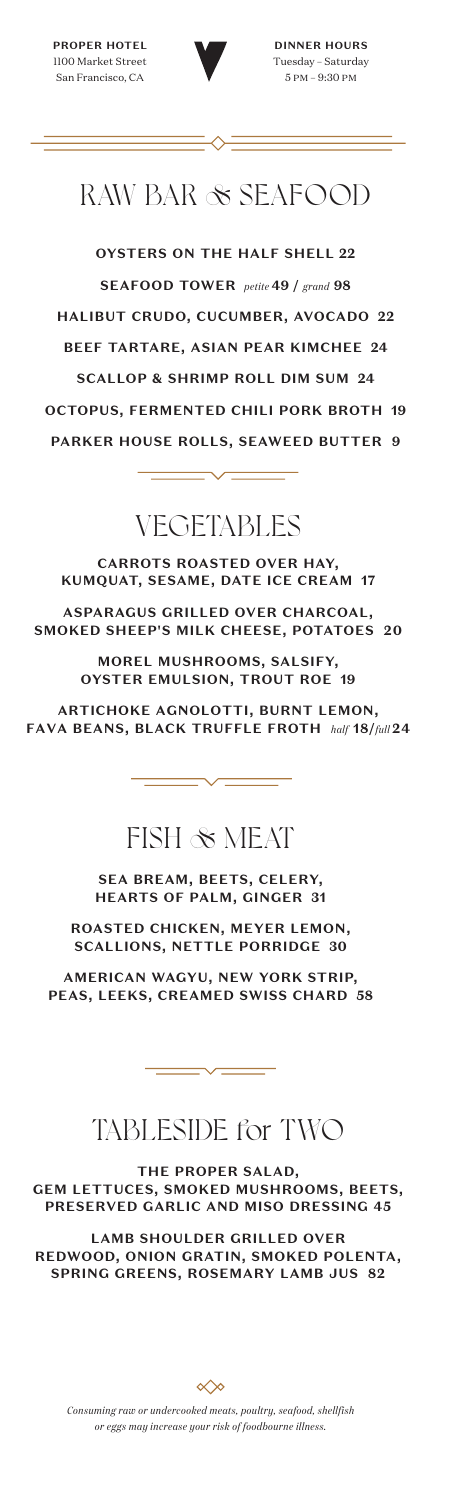

# RAW BAR & SEAFOOD

**OYSTERS ON THE HALF SHELL 22 SEAFOOD TOWER** *petite* **49 /** *grand* **98 HALIBUT CRUDO, CUCUMBER, AVOCADO 22 BEEF TARTARE, ASIAN PEAR KIMCHEE 24 SCALLOP & SHRIMP ROLL DIM SUM 24 OCTOPUS, FERMENTED CHILI PORK BROTH 19 PARKER HOUSE ROLLS, SEAWEED BUTTER 9** 

# VEGETABLES

**CARROTS ROASTED OVER HAY, KUMQUAT, SESAME, DATE ICE CREAM 17**

**ASPARAGUS GRILLED OVER CHARCOAL, SMOKED SHEEP'S MILK CHEESE, POTATOES 20**

> **MOREL MUSHROOMS, SALSIFY, OYSTER EMULSION, TROUT ROE 19**

**ARTICHOKE AGNOLOTTI, BURNT LEMON, FAVA BEANS, BLACK TRUFFLE FROTH** *half* **18/***full* **24**

### FISH & MEAT

**SEA BREAM, BEETS, CELERY, HEARTS OF PALM, GINGER 31**

**ROASTED CHICKEN, MEYER LEMON, SCALLIONS, NETTLE PORRIDGE 30**

**AMERICAN WAGYU, NEW YORK STRIP, PEAS, LEEKS, CREAMED SWISS CHARD 58**

### TABLESIDE for TWO

**THE PROPER SALAD, GEM LETTUCES, SMOKED MUSHROOMS, BEETS, PRESERVED GARLIC AND MISO DRESSING 45**

**LAMB SHOULDER GRILLED OVER REDWOOD, ONION GRATIN, SMOKED POLENTA, SPRING GREENS, ROSEMARY LAMB JUS 82**

$$
\ll \hspace{-4pt}\sim
$$

*Consuming raw or undercooked meats, poultry, seafood, shellfish or eggs may increase your risk of foodbourne illness.*